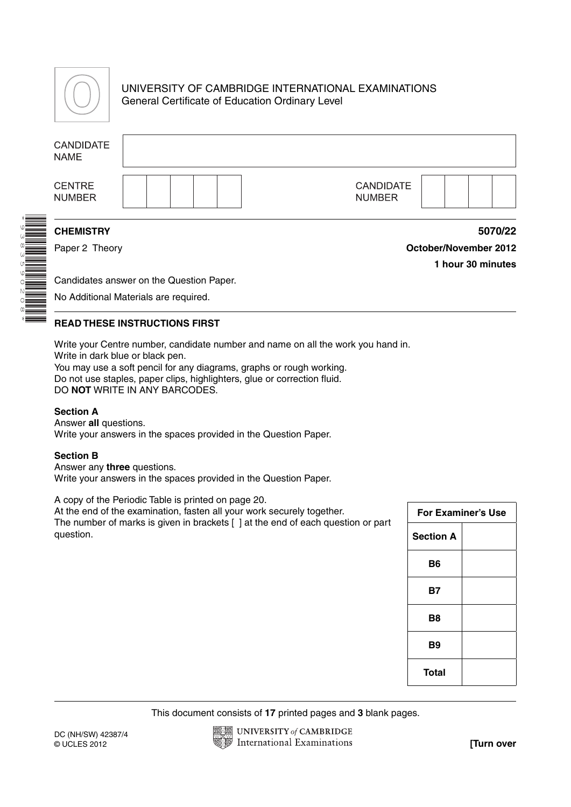

UNIVERSITY OF CAMBRIDGE INTERNATIONAL EXAMINATIONS General Certificate of Education Ordinary Level

| <b>CANDIDATE</b><br><b>NAME</b> |                                          |                                   |                       |
|---------------------------------|------------------------------------------|-----------------------------------|-----------------------|
| <b>CENTRE</b><br><b>NUMBER</b>  |                                          | <b>CANDIDATE</b><br><b>NUMBER</b> |                       |
|                                 |                                          |                                   |                       |
| <b>CHEMISTRY</b>                |                                          |                                   | 5070/22               |
| Paper 2 Theory                  |                                          |                                   | October/November 2012 |
|                                 |                                          |                                   | 1 hour 30 minutes     |
|                                 | Candidates answer on the Question Paper. |                                   |                       |
|                                 | No Additional Materials are required.    |                                   |                       |

### **READ THESE INSTRUCTIONS FIRST**

Write your Centre number, candidate number and name on all the work you hand in. Write in dark blue or black pen. You may use a soft pencil for any diagrams, graphs or rough working.

Do not use staples, paper clips, highlighters, glue or correction fluid. DO **NOT** WRITE IN ANY BARCODES.

### **Section A**

\*9383590208\*

Answer **all** questions. Write your answers in the spaces provided in the Question Paper.

### **Section B**

Answer any **three** questions. Write your answers in the spaces provided in the Question Paper.

A copy of the Periodic Table is printed on page 20.

At the end of the examination, fasten all your work securely together. The number of marks is given in brackets [ ] at the end of each question or part question.

| <b>For Examiner's Use</b> |  |  |  |  |  |  |
|---------------------------|--|--|--|--|--|--|
| <b>Section A</b>          |  |  |  |  |  |  |
| Β6                        |  |  |  |  |  |  |
| Β7                        |  |  |  |  |  |  |
| B8                        |  |  |  |  |  |  |
| B9                        |  |  |  |  |  |  |
| Total                     |  |  |  |  |  |  |

This document consists of **17** printed pages and **3** blank pages.

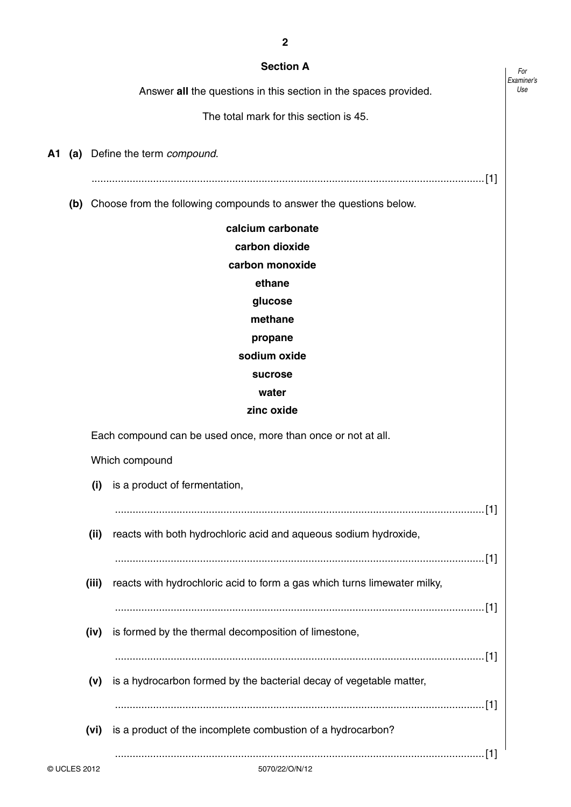# *For Examiner's Use* **Section A** Answer **all** the questions in this section in the spaces provided. The total mark for this section is 45. **A1 (a)** Define the term *compound*. ......................................................................................................................................[1]  **(b)** Choose from the following compounds to answer the questions below. **calcium carbonate carbon dioxide carbon monoxide ethane glucose methane propane sodium oxide sucrose water zinc oxide** Each compound can be used once, more than once or not at all. Which compound  **(i)** is a product of fermentation, ..............................................................................................................................[1]  **(ii)** reacts with both hydrochloric acid and aqueous sodium hydroxide, ..............................................................................................................................[1]  **(iii)** reacts with hydrochloric acid to form a gas which turns limewater milky, ..............................................................................................................................[1]  **(iv)** is formed by the thermal decomposition of limestone, ..............................................................................................................................[1]  **(v)** is a hydrocarbon formed by the bacterial decay of vegetable matter, ..............................................................................................................................[1]  **(vi)** is a product of the incomplete combustion of a hydrocarbon? ..............................................................................................................................[1]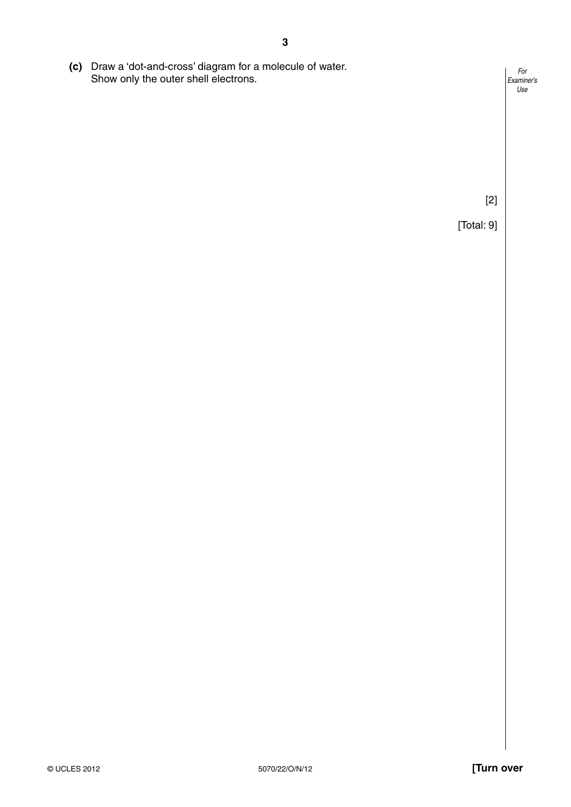**(c)** Draw a 'dot-and-cross' diagram for a molecule of water. Show only the outer shell electrons.



[2]

[Total: 9]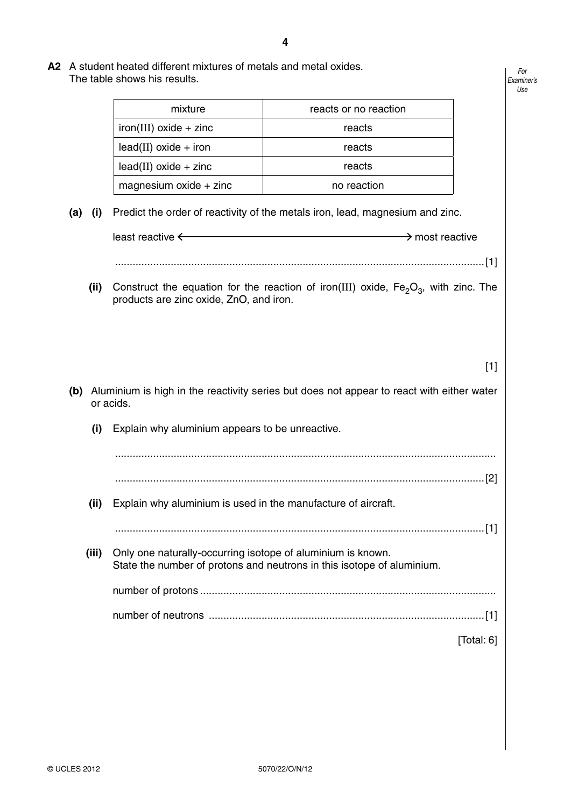**A2** A student heated different mixtures of metals and metal oxides. The table shows his results.

#### *For Examiner's Use*

|            | mixture                                                       | reacts or no reaction                                                                     |                     |
|------------|---------------------------------------------------------------|-------------------------------------------------------------------------------------------|---------------------|
|            | $iron(III)$ oxide + zinc                                      | reacts                                                                                    |                     |
|            | $lead(II)$ oxide + iron                                       | reacts                                                                                    |                     |
|            | $lead(II)$ oxide + zinc                                       | reacts                                                                                    |                     |
|            | magnesium oxide $+$ zinc                                      | no reaction                                                                               |                     |
| (a)<br>(i) |                                                               | Predict the order of reactivity of the metals iron, lead, magnesium and zinc.             |                     |
|            | least reactive $\leftarrow$                                   | $\rightarrow$ most reactive                                                               |                     |
|            |                                                               |                                                                                           |                     |
| (ii)       | products are zinc oxide, ZnO, and iron.                       | Construct the equation for the reaction of iron(III) oxide, $Fe2O3$ , with zinc. The      |                     |
| (b)        | or acids.                                                     | Aluminium is high in the reactivity series but does not appear to react with either water | $[1]$               |
| (i)        | Explain why aluminium appears to be unreactive.               |                                                                                           |                     |
|            |                                                               |                                                                                           |                     |
|            |                                                               |                                                                                           | . [2]               |
| (ii)       | Explain why aluminium is used in the manufacture of aircraft. |                                                                                           |                     |
|            |                                                               |                                                                                           | $\lfloor 1 \rfloor$ |
| (iii)      | Only one naturally-occurring isotope of aluminium is known.   | State the number of protons and neutrons in this isotope of aluminium.                    |                     |
|            |                                                               |                                                                                           |                     |
|            |                                                               |                                                                                           |                     |
|            |                                                               |                                                                                           |                     |
|            |                                                               |                                                                                           | [Total: $6$ ]       |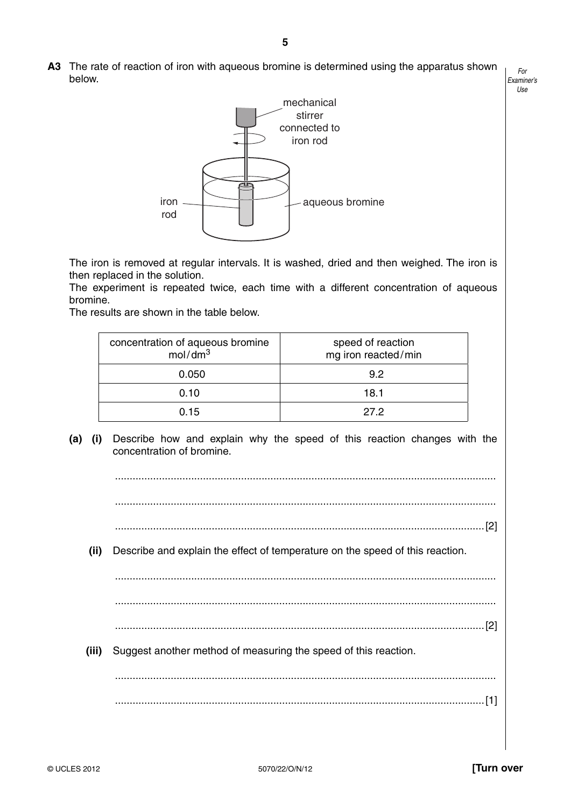**A3** The rate of reaction of iron with aqueous bromine is determined using the apparatus shown below.



The iron is removed at regular intervals. It is washed, dried and then weighed. The iron is then replaced in the solution.

The experiment is repeated twice, each time with a different concentration of aqueous bromine.

The results are shown in the table below.

| concentration of aqueous bromine<br>mol/dm <sup>3</sup> | speed of reaction<br>mg iron reacted/min |
|---------------------------------------------------------|------------------------------------------|
| 0.050                                                   | 9.2                                      |
| 0.10                                                    | 18.1                                     |
| 0.15                                                    | 27.2                                     |

 **(a) (i)** Describe how and explain why the speed of this reaction changes with the concentration of bromine.

 .................................................................................................................................. .................................................................................................................................. ..............................................................................................................................[2]  **(ii)** Describe and explain the effect of temperature on the speed of this reaction. .................................................................................................................................. .................................................................................................................................. ..............................................................................................................................[2]  **(iii)** Suggest another method of measuring the speed of this reaction. .................................................................................................................................. ..............................................................................................................................[1]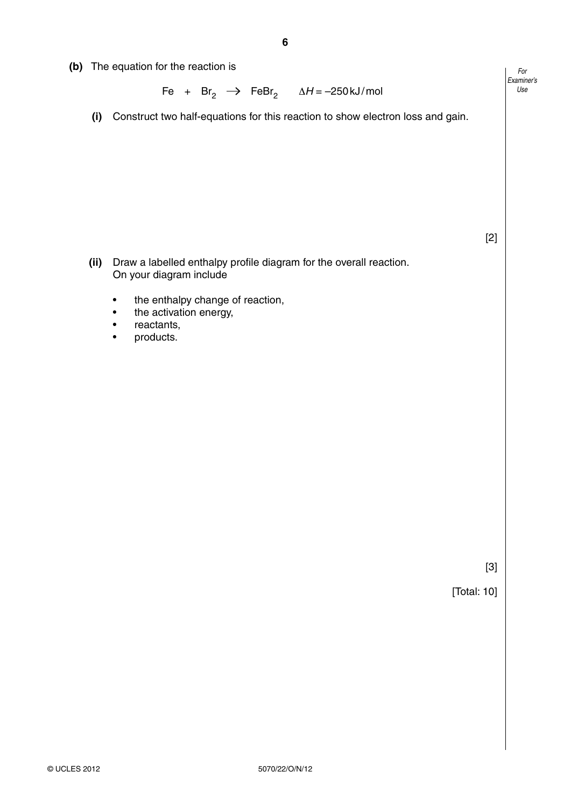**(b)** The equation for the reaction is

Fe + Br<sub>2</sub>  $\rightarrow$  FeBr<sub>2</sub>  $\Delta H = -250 \text{ kJ/mol}$ 

 **(i)** Construct two half-equations for this reaction to show electron loss and gain.

[2]

*For Examiner's Use*

### **(ii)** Draw a labelled enthalpy profile diagram for the overall reaction. On your diagram include

- the enthalpy change of reaction,
- the activation energy,
- reactants,
- products.

[3]

[Total: 10]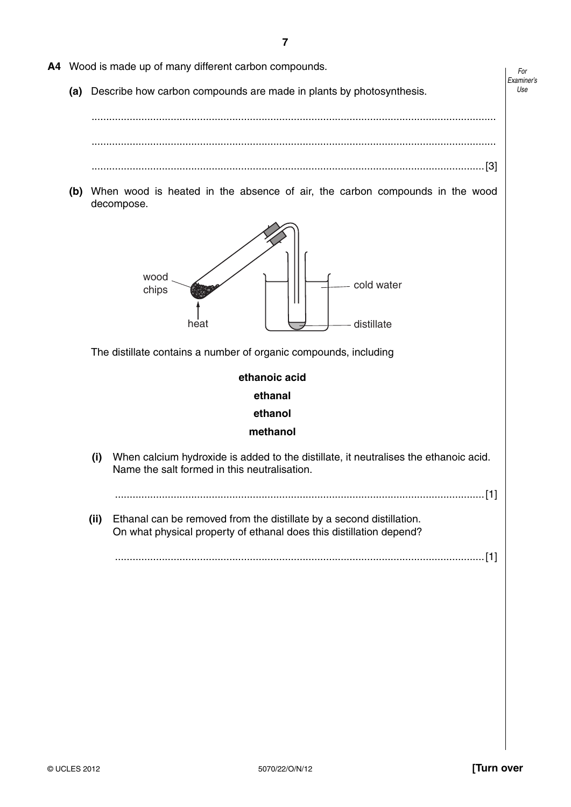- **7**
- **A4** Wood is made up of many different carbon compounds.
	- **(a)** Describe how carbon compounds are made in plants by photosynthesis.



 **(b)** When wood is heated in the absence of air, the carbon compounds in the wood decompose.



The distillate contains a number of organic compounds, including

## **ethanoic acid ethanal ethanol methanol**

 **(i)** When calcium hydroxide is added to the distillate, it neutralises the ethanoic acid. Name the salt formed in this neutralisation.

..............................................................................................................................[1]

 **(ii)** Ethanal can be removed from the distillate by a second distillation. On what physical property of ethanal does this distillation depend?

..............................................................................................................................[1]

*For Examiner's Use*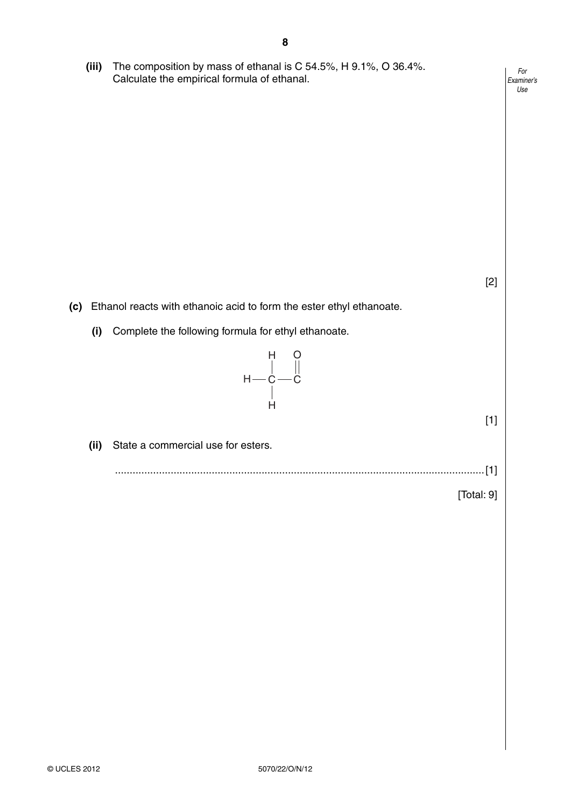**(iii)** The composition by mass of ethanal is C 54.5%, H 9.1%, O 36.4%. Calculate the empirical formula of ethanal.

*For Examiner's Use*

[2]

### **(c)** Ethanol reacts with ethanoic acid to form the ester ethyl ethanoate.

 **(i)** Complete the following formula for ethyl ethanoate.



[1]

 **(ii)** State a commercial use for esters.

..............................................................................................................................[1]

[Total: 9]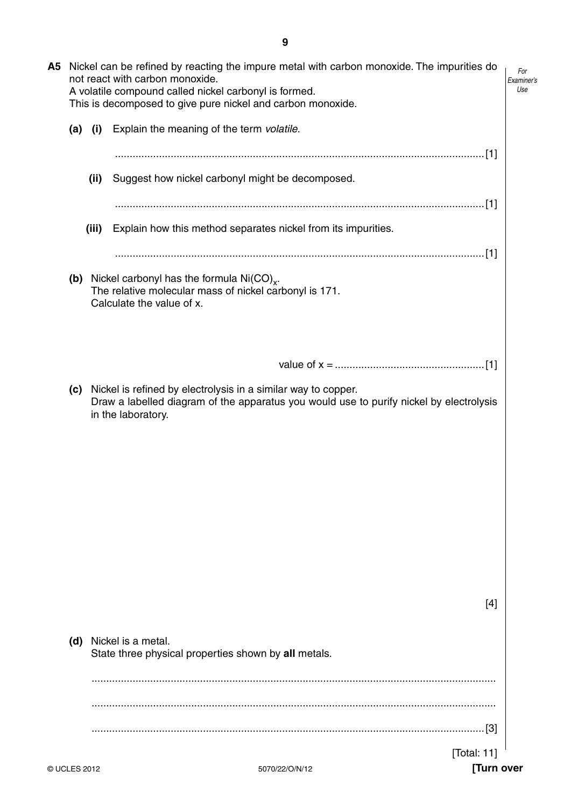| A5 |     |           | Nickel can be refined by reacting the impure metal with carbon monoxide. The impurities do<br>not react with carbon monoxide.<br>A volatile compound called nickel carbonyl is formed.<br>This is decomposed to give pure nickel and carbon monoxide. | For<br>Examiner's<br>Use |
|----|-----|-----------|-------------------------------------------------------------------------------------------------------------------------------------------------------------------------------------------------------------------------------------------------------|--------------------------|
|    |     | $(a)$ (i) | Explain the meaning of the term volatile.                                                                                                                                                                                                             |                          |
|    |     |           |                                                                                                                                                                                                                                                       |                          |
|    |     | (ii)      | Suggest how nickel carbonyl might be decomposed.                                                                                                                                                                                                      |                          |
|    |     |           |                                                                                                                                                                                                                                                       |                          |
|    |     | (iii)     | Explain how this method separates nickel from its impurities.                                                                                                                                                                                         |                          |
|    |     |           |                                                                                                                                                                                                                                                       |                          |
|    |     |           | (b) Nickel carbonyl has the formula $Ni(CO)x$ .<br>The relative molecular mass of nickel carbonyl is 171.<br>Calculate the value of x.                                                                                                                |                          |
|    |     |           |                                                                                                                                                                                                                                                       |                          |
|    | (c) |           | Nickel is refined by electrolysis in a similar way to copper.<br>Draw a labelled diagram of the apparatus you would use to purify nickel by electrolysis<br>in the laboratory.                                                                        |                          |
|    |     |           |                                                                                                                                                                                                                                                       |                          |
|    |     |           |                                                                                                                                                                                                                                                       |                          |
|    |     |           |                                                                                                                                                                                                                                                       |                          |
|    |     |           |                                                                                                                                                                                                                                                       |                          |
|    |     |           |                                                                                                                                                                                                                                                       |                          |
|    |     |           |                                                                                                                                                                                                                                                       |                          |
|    |     |           | $[4]$                                                                                                                                                                                                                                                 |                          |
|    |     |           | (d) Nickel is a metal.<br>State three physical properties shown by all metals.                                                                                                                                                                        |                          |
|    |     |           |                                                                                                                                                                                                                                                       |                          |
|    |     |           | . [3]                                                                                                                                                                                                                                                 |                          |
|    |     |           | [Total: 11]                                                                                                                                                                                                                                           |                          |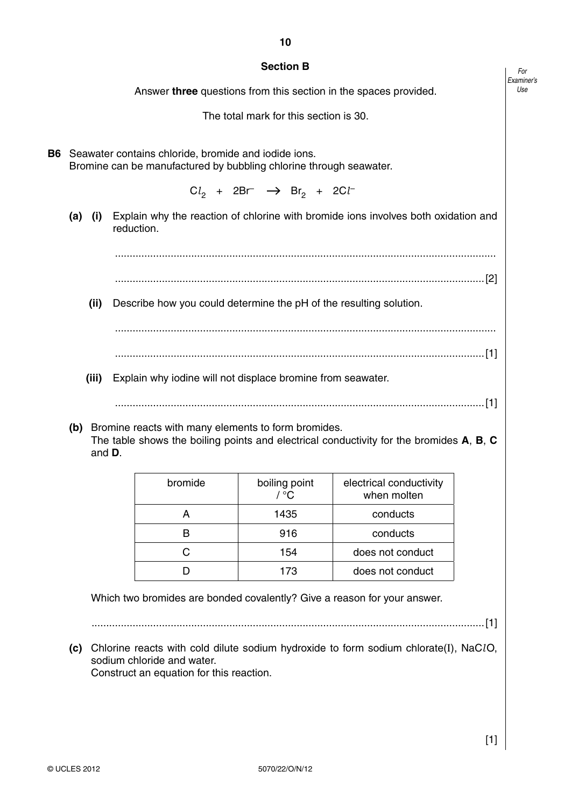### **Section B**

*For Examiner's Use* Answer **three** questions from this section in the spaces provided. The total mark for this section is 30. **B6** Seawater contains chloride, bromide and iodide ions. Bromine can be manufactured by bubbling chlorine through seawater.  $Cl_2$  + 2Br<sup> $\rightarrow$ </sup> Br<sub>2</sub> + 2C*l*<sup>–</sup>  **(a) (i)** Explain why the reaction of chlorine with bromide ions involves both oxidation and reduction. .................................................................................................................................. ..............................................................................................................................[2]  **(ii)** Describe how you could determine the pH of the resulting solution. .................................................................................................................................. ..............................................................................................................................[1]  **(iii)** Explain why iodine will not displace bromine from seawater. ..............................................................................................................................[1]

 **(b)** Bromine reacts with many elements to form bromides. The table shows the boiling points and electrical conductivity for the bromides **A**, **B**, **C** and **D**.

| bromide | boiling point<br>$/$ °C | electrical conductivity<br>when molten |
|---------|-------------------------|----------------------------------------|
|         |                         |                                        |
|         | 1435                    | conducts                               |
|         | 916                     | conducts                               |
| n.      | 154                     | does not conduct                       |
|         | $173 -$                 | does not conduct                       |

Which two bromides are bonded covalently? Give a reason for your answer.

......................................................................................................................................[1]

 **(c)** Chlorine reacts with cold dilute sodium hydroxide to form sodium chlorate(I), NaC*l* O, sodium chloride and water. Construct an equation for this reaction.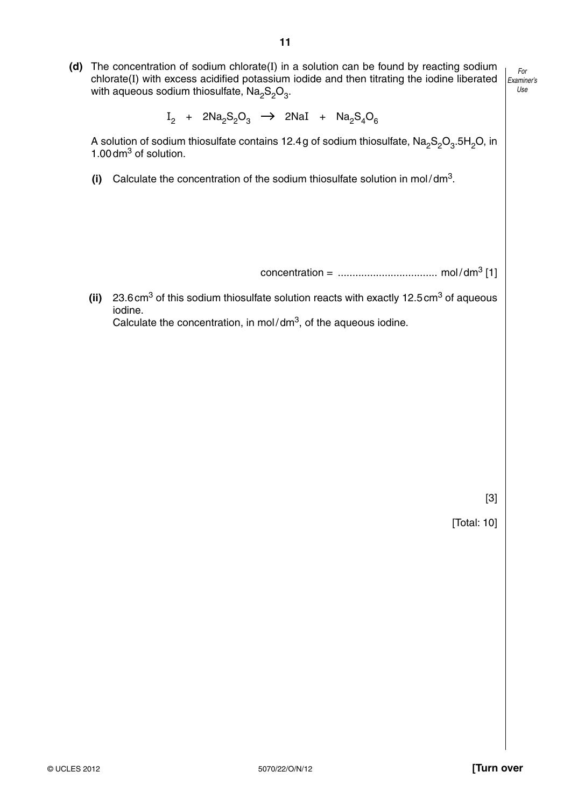**(d)** The concentration of sodium chlorate(I) in a solution can be found by reacting sodium chlorate(I) with excess acidified potassium iodide and then titrating the iodine liberated with aqueous sodium thiosulfate,  $Na<sub>2</sub>S<sub>2</sub>O<sub>3</sub>$ .

*For Examiner's Use*

 $I_2$  + 2Na<sub>2</sub>S<sub>2</sub>O<sub>3</sub>  $\rightarrow$  2NaI + Na<sub>2</sub>S<sub>4</sub>O<sub>6</sub>

A solution of sodium thiosulfate contains 12.4g of sodium thiosulfate,  $\text{Na}_2\text{S}_2\text{O}_3.5\text{H}_2\text{O}$ , in 1.00 dm<sup>3</sup> of solution.

 **(i)** Calculate the concentration of the sodium thiosulfate solution in mol / dm3.

concentration = .................................. mol / dm3 [1]

**(ii)**  $23.6 \text{ cm}^3$  of this sodium thiosulfate solution reacts with exactly 12.5 cm<sup>3</sup> of aqueous iodine.

Calculate the concentration, in mol / dm3, of the aqueous iodine.

[3]

[Total: 10]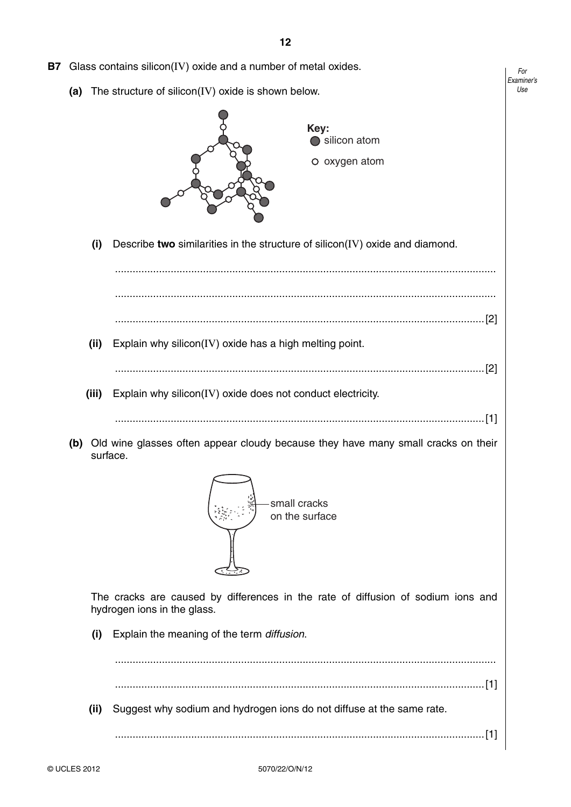*For Examiner's Use*

- **B7** Glass contains silicon(IV) oxide and a number of metal oxides.
	- **(a)** The structure of silicon(IV) oxide is shown below.



 **(i)** Describe **two** similarities in the structure of silicon(IV) oxide and diamond.

 .................................................................................................................................. .................................................................................................................................. ..............................................................................................................................[2]  **(ii)** Explain why silicon(IV) oxide has a high melting point. ..............................................................................................................................[2]  **(iii)** Explain why silicon(IV) oxide does not conduct electricity. ..............................................................................................................................[1]

 **(b)** Old wine glasses often appear cloudy because they have many small cracks on their surface.



The cracks are caused by differences in the rate of diffusion of sodium ions and hydrogen ions in the glass.

 **(i)** Explain the meaning of the term *diffusion*.

 .................................................................................................................................. ..............................................................................................................................[1]  **(ii)** Suggest why sodium and hydrogen ions do not diffuse at the same rate. ..............................................................................................................................[1]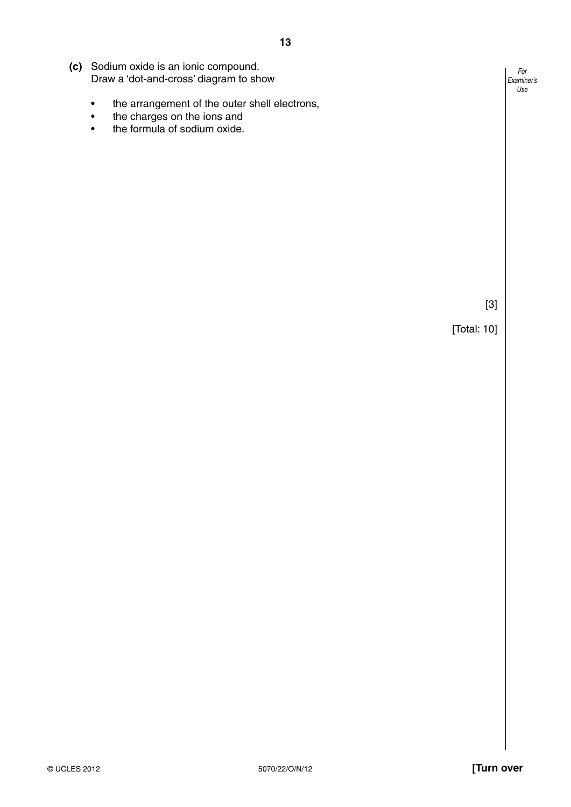- **(c)** Sodium oxide is an ionic compound. Draw a 'dot-and-cross' diagram to show
	- the arrangement of the outer shell electrons,
	- the charges on the ions and
	- the formula of sodium oxide.

[3]

*For Examiner's Use*

[Total: 10]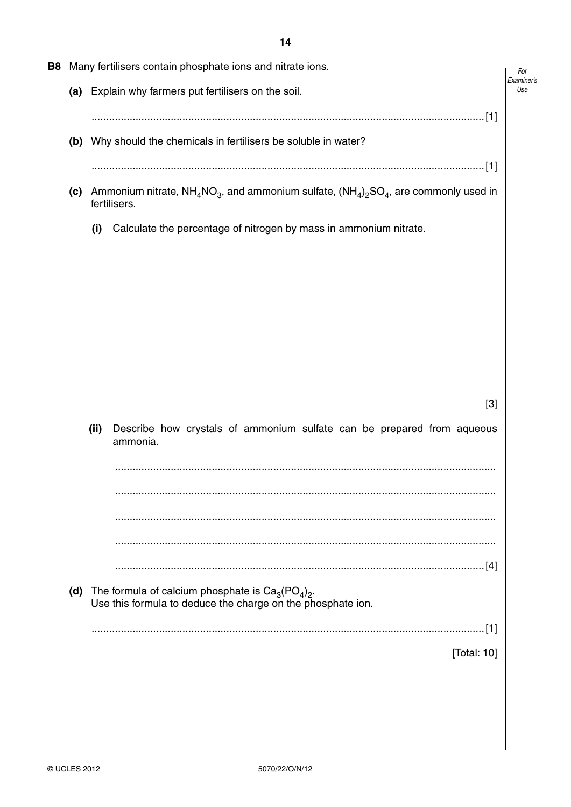|     |      | (a) Explain why farmers put fertilisers on the soil.                                                       | Examiner's |
|-----|------|------------------------------------------------------------------------------------------------------------|------------|
|     |      |                                                                                                            |            |
|     |      | (b) Why should the chemicals in fertilisers be soluble in water?                                           |            |
|     |      |                                                                                                            |            |
| (c) |      | Ammonium nitrate, $NH_4NO_3$ , and ammonium sulfate, $(NH_4)_2SO_4$ , are commonly used in<br>fertilisers. |            |
|     | (i)  | Calculate the percentage of nitrogen by mass in ammonium nitrate.                                          |            |
|     |      |                                                                                                            |            |
|     |      |                                                                                                            |            |
|     |      |                                                                                                            |            |
|     |      |                                                                                                            |            |
|     |      |                                                                                                            |            |
|     |      |                                                                                                            |            |
|     |      | $[3]$                                                                                                      |            |
|     | (ii) | Describe how crystals of ammonium sulfate can be prepared from aqueous<br>ammonia.                         |            |
|     |      |                                                                                                            |            |
|     |      |                                                                                                            |            |
|     |      |                                                                                                            |            |
|     |      |                                                                                                            |            |
|     |      |                                                                                                            |            |
| (d) |      | The formula of calcium phosphate is $Ca3(PO4)2$ .                                                          |            |
|     |      | Use this formula to deduce the charge on the phosphate ion.                                                |            |
|     |      | [1]                                                                                                        |            |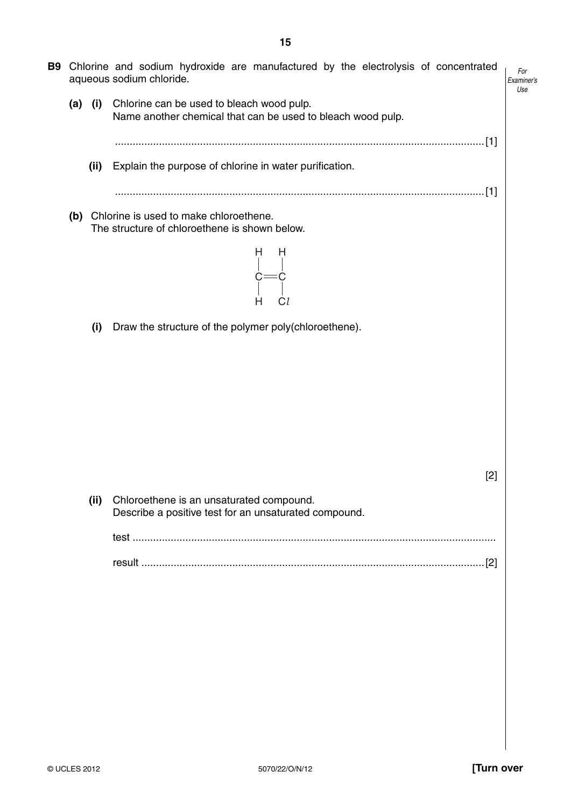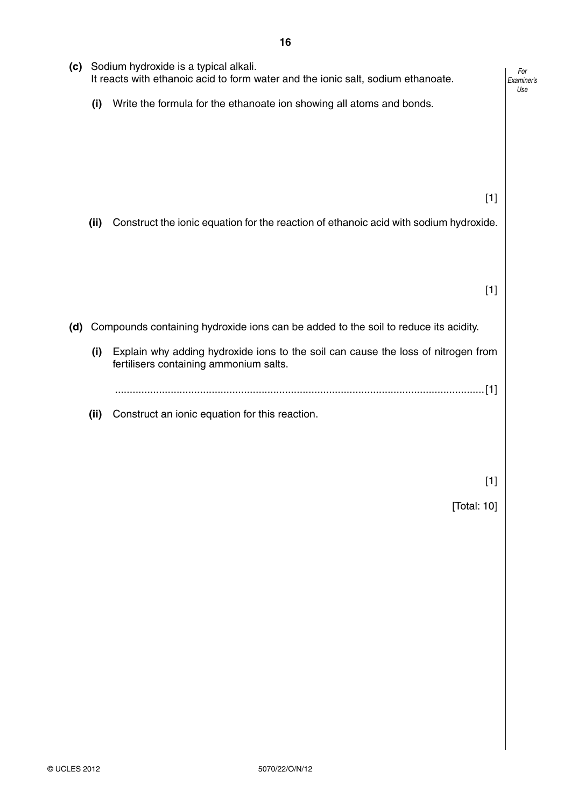| (c) |      | Sodium hydroxide is a typical alkali.<br>It reacts with ethanoic acid to form water and the ionic salt, sodium ethanoate.   | For<br>Examiner's<br>Use |
|-----|------|-----------------------------------------------------------------------------------------------------------------------------|--------------------------|
|     | (i)  | Write the formula for the ethanoate ion showing all atoms and bonds.                                                        |                          |
|     |      | $[1]$                                                                                                                       |                          |
|     | (ii) | Construct the ionic equation for the reaction of ethanoic acid with sodium hydroxide.                                       |                          |
|     |      | $[1]$                                                                                                                       |                          |
| (d) |      | Compounds containing hydroxide ions can be added to the soil to reduce its acidity.                                         |                          |
|     | (i)  | Explain why adding hydroxide ions to the soil can cause the loss of nitrogen from<br>fertilisers containing ammonium salts. |                          |
|     |      |                                                                                                                             |                          |
|     | (ii) | Construct an ionic equation for this reaction.                                                                              |                          |
|     |      | $[1]$                                                                                                                       |                          |
|     |      | [Total: 10]                                                                                                                 |                          |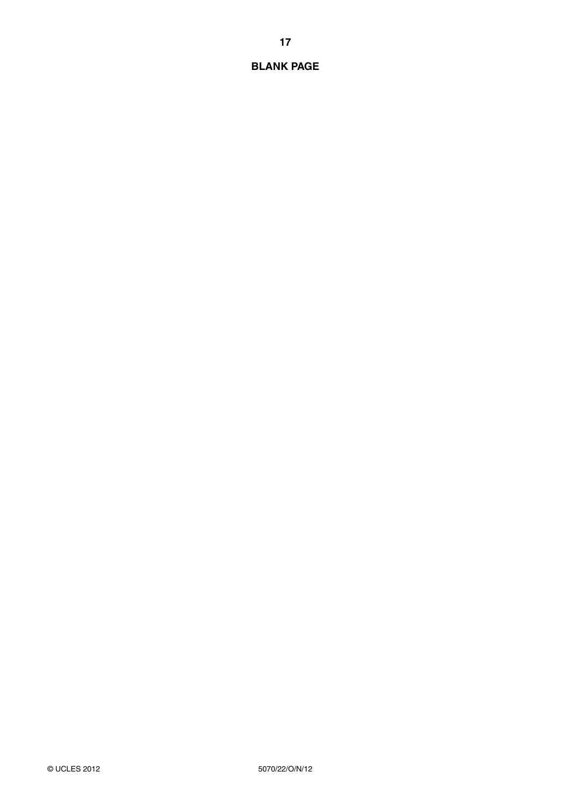### **BLANK PAGE**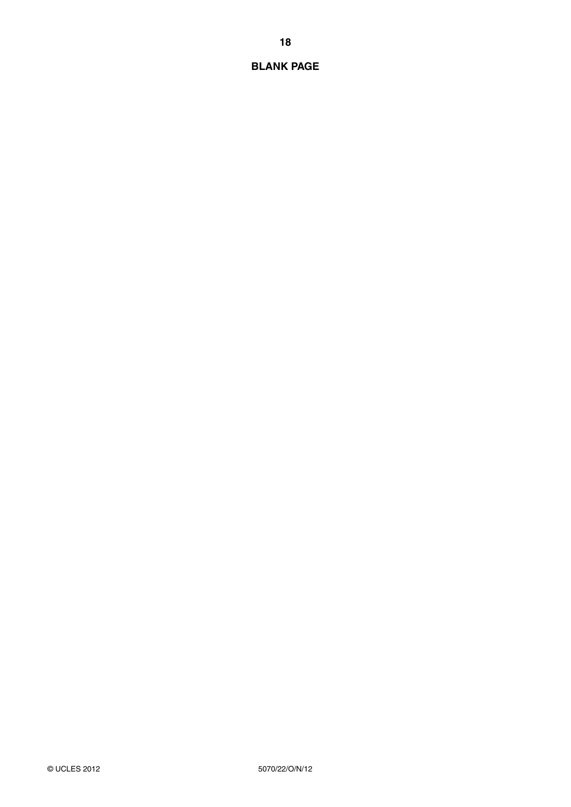### **BLANK PAGE**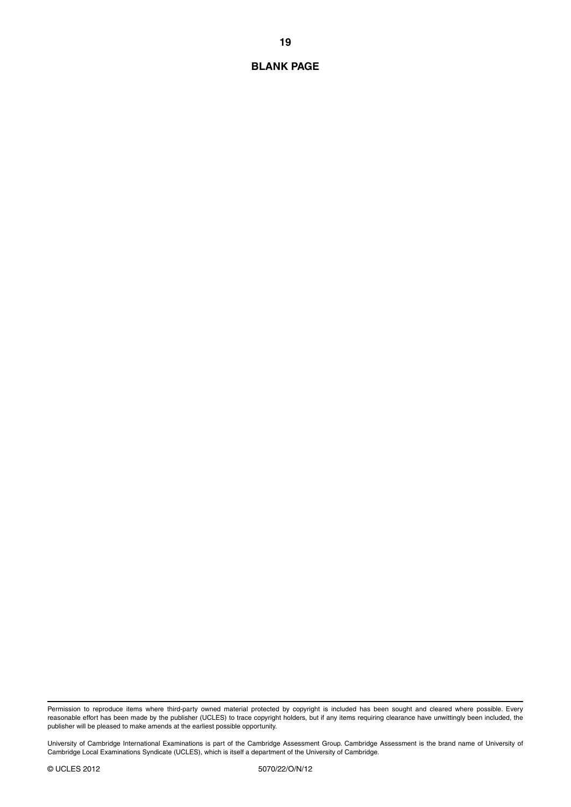### **BLANK PAGE**

Permission to reproduce items where third-party owned material protected by copyright is included has been sought and cleared where possible. Every reasonable effort has been made by the publisher (UCLES) to trace copyright holders, but if any items requiring clearance have unwittingly been included, the publisher will be pleased to make amends at the earliest possible opportunity.

University of Cambridge International Examinations is part of the Cambridge Assessment Group. Cambridge Assessment is the brand name of University of Cambridge Local Examinations Syndicate (UCLES), which is itself a department of the University of Cambridge.